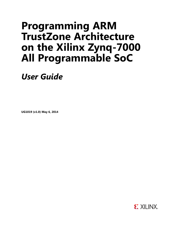# **Programming ARM TrustZone Architecture on the Xilinx Zynq-7000 All Programmable SoC**

*User Guide*

**UG1019 (v1.0) May 6, 2014**

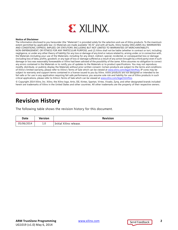

#### **Notice of Disclaimer**

The information disclosed to you hereunder (the "Materials") is provided solely for the selection and use of Xilinx products. To the maximum extent permitted by applicable law: (1) Materials are made available "AS IS" and with all faults, Xilinx hereby DISCLAIMS ALL WARRANTIES AND CONDITIONS, EXPRESS, IMPLIED, OR STATUTORY, INCLUDING BUT NOT LIMITED TO WARRANTIES OF MERCHANTABILITY, NON-INFRINGEMENT, OR FITNESS FOR ANY PARTICULAR PURPOSE; and (2) Xilinx shall not be liable (whether in contract or tort, including negligence, or under any other theory of liability) for any loss or damage of any kind or nature related to, arising under, or in connection with, the Materials (including your use of the Materials), including for any direct, indirect, special, incidental, or consequential loss or damage (including loss of data, profits, goodwill, or any type of loss or damage suffered as a result of any action brought by a third party) even if such damage or loss was reasonably foreseeable or Xilinx had been advised of the possibility of the same. Xilinx assumes no obligation to correct any errors contained in the Materials or to notify you of updates to the Materials or to product specifications. You may not reproduce, modify, distribute, or publicly display the Materials without prior written consent. Certain products are subject to the terms and conditions of Xilinx's limited warranty, please refer to Xilinx's Terms of Sale which can be viewed at [www.xilinx.com/legal.htm#tos;](www.xilinx.com/legal.htm#tos) IP cores may be subject to warranty and support terms contained in a license issued to you by Xilinx. Xilinx products are not designed or intended to be fail-safe or for use in any application requiring fail-safe performance; you assume sole risk and liability for use of Xilinx products in such critical applications, please refer to Xilinx's Terms of Sale which can be viewed at [www.xilinx.com/legal.htm#tos.](www.xilinx.com/legal.htm#tos)

© Copyright 2014 Xilinx, Inc. Xilinx, the Xilinx logo, Artix, ISE, Kintex, Spartan, Virtex, Vivado, Zynq, and other designated brands included herein are trademarks of Xilinx in the United States and other countries. All other trademarks are the property of their respective owners.

### <span id="page-1-0"></span>**Revision History**

The following table shows the revision history for this document.

| Date       | <b>Version</b> | <b>Revision</b>         |
|------------|----------------|-------------------------|
| 05/06/2014 | 1.0            | Initial Xilinx release. |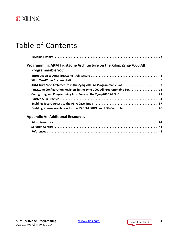

# Table of Contents

| Programming ARM TrustZone Architecture on the Xilinx Zynq-7000 All<br><b>Programmable SoC</b> |  |
|-----------------------------------------------------------------------------------------------|--|
|                                                                                               |  |
|                                                                                               |  |
|                                                                                               |  |
| TrustZone Configuration Registers in the Zynq-7000 All Programmable SoC  13                   |  |
|                                                                                               |  |
|                                                                                               |  |
|                                                                                               |  |
|                                                                                               |  |

#### **[Appendix A: Additional Resources](#page-43-0)**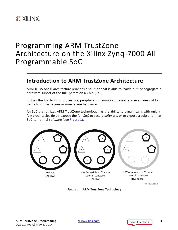

# <span id="page-3-0"></span>Programming ARM TrustZone Architecture on the Xilinx Zynq-7000 All Programmable SoC

### <span id="page-3-1"></span>**Introduction to ARM TrustZone Architecture**

ARM TrustZone® architecture provides a solution that is able to "carve out" or segregate a hardware subset of the full System on a Chip (SoC).

It does this by defining processors, peripherals, memory addresses and even areas of L2 cache to run as secure or non-secure hardware.

An SoC that utilizes ARM TrustZone technology has the ability to dynamically, with only a few clock cycles delay, expose the full SoC to secure software, or to expose a subset of that SoC to normal software (see [Figure 1](#page-3-2)).

<span id="page-3-2"></span>

UG1019\_01\_082213

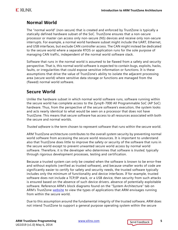### **Normal World**

The "normal world" (non-secure) that is created and enforced by TrustZone is typically a statically defined hardware subset of the SoC. TrustZone ensures that a non-secure processor or master can access only non-secure (NS) devices and receive only non-secure interrupts. For example, a normal world hardware subset might include the UART, Ethernet, and USB interfaces, but exclude CAN controller access. The CAN might instead be dedicated to the secure world where a separate RTOS or application runs for the sole purpose of managing CAN traffic, independent of the normal world software stack.

Software that runs in the normal world is assumed to be flawed from a safety and security perspective. That is, this normal world software is expected to contain bugs, exploits, hacks, faults, or irregularities that could expose sensitive information or functions. It is these assumptions that drive the value of TrustZone's ability to isolate the adjacent processing area (secure world) where sensitive data storage or functions are managed from the (flawed) normal world software.

### **Secure World**

Unlike the hardware subset in which normal world software runs, software running within the secure world has complete access to the Zynq®-7000 All Programmable SoC (AP SoC) hardware. Thus, from the perspective of the secure software's execution, the system looks and acts nearly identical to what would be seen on a processor that does not have TrustZone. This means that secure software has access to all resources associated with both the secure and normal worlds.

*Trusted software* is the term chosen to represent software that runs within the secure world.

ARM TrustZone architecture contributes to the overall *system* security by preventing normal world software from accessing the secure world resources. It is important to understand also that TrustZone does little to improve the safety or security of the software that runs in the secure world except to prevent unwanted secure world access by normal world software. Therefore, it is the developer who determines that software is *trusted*, typically through rigorous development processes, testing and certification.

Because a trusted system can only be created when the software is known to be error-free and without exploits (verified as trusted software), and because smaller works of code are significantly easier to certify for safety and security needs, the trusted software typically includes only the minimum of functionality and device interfaces. If for example, trusted software does not include a TCP/IP stack, or a USB device, then security from such attacks is ensured based on the absence of such device drivers. absence of potentially exploitable software. Reference ARM's block diagrams found on the "System Architecture" tab on ARM's TrustZone [website](http://www.arm.com/products/processors/technologies/trustzone.php) to view the types of applications that ARM envisages running from within the secure world.

Due to this assumption around the fundamental integrity of the trusted software, ARM does not intend TrustZone to support a general purpose operating system within the secure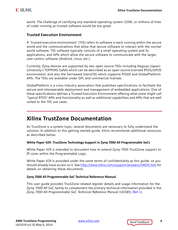world. The challenge of certifying any standard operating system (100K, or millions of lines of code) running as trusted software would be too great.

#### **Trusted Execution Environment**

A "trusted execution environment" (TEE) refers to software a stack running within the secure world and the communications that allow that secure software to interact with the normal world software. TEE software typically consists of a small operating system and its applications, and APIs which allow the secure software to communicate with the larger, user-centric software (Android, Linux, etc.).

Currently, Zynq devices are supported by two open source TEEs including Nagoya (Japan) University's TOPPERS-SafeG which can be described as an open source licensed RTOS/GPOS environment, and also the Sierraware SierraTEE which supports POSIX and GlobalPlatform APIs. The TEEs are available under GPL and commercial licenses.

GlobalPlatform is a cross industry association that publishes specifications to facilitate the secure and interoperable deployment and management of embedded applications. One of these specifications defines a Trusted Execution Environment offering what some might call "typical RTOS" APIs and functionality as well as additional capabilities and APIs that are well suited to the TEE use cases.

### <span id="page-5-0"></span>**Xilinx TrustZone Documentation**

As TrustZone is a system topic, several documents are necessary to fully understand the solution. In addition to this getting started guide, Xilinx recommends additional resources as described below.

#### **White Paper 429: TrustZone Technology Support in Zynq-7000 All Programmable SoCs**

White Paper 429 is intended to document how to extend Zynq-7000 TrustZone support to IP cores within the Programmable Logic.

White Paper 429 is provided under the same terms of confidentiality as this guide, so you should already have access to it. See<http://www.xilinx.com/support/answers/54835.htm> for details on obtaining these documents.

#### **Zynq-7000 All Programmable SoC Technical Reference Manual**

This user guide provides TrustZone-related register details and usage information for the Zynq-7000 AP SoC family to complement the primary technical information provided in the *Zynq-7000 All Programmable SoC Technical Reference Manual* (UG585) [\[Ref 1\].](#page-43-4)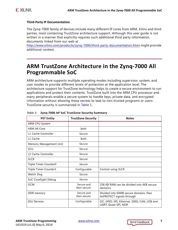#### **Third-Party IP Documentation**

The Zynq-7000 family of devices include many different IP cores from ARM, Xilinx and third parties, most containing TrustZone architecture support. Although this user guide is not written in a manner that explicitly requires such additional third party information, documents linked from our web at

<http://www.xilinx.com/products/zynq-7000/third-party-documentation.htm>) might provide additional context.

### <span id="page-6-0"></span>**ARM TrustZone Architecture in the Zynq-7000 All Programmable SoC**

ARM architecture supports multiple operating modes including supervisor, system, and user modes to provide different levels of protection at the application level. The architecture support for TrustZone technology helps to create a secure environment to run applications and protect their contents. TrustZone built into the ARM CPU processor and many peripherals enable a secure system to handle keys, private data, and encrypted information without allowing these secrets to leak to non-trusted programs or users. TrustZone security is summarized in [Table 1.](#page-6-1)

| <b>PS7 Entity</b>               | <b>TrustZone Security</b> | <b>Notes</b>                                                        |  |
|---------------------------------|---------------------------|---------------------------------------------------------------------|--|
| ARM CPU System                  |                           |                                                                     |  |
| ARM A9 Core                     | <b>Both</b>               |                                                                     |  |
| L1 Cache Controller             | Secure                    |                                                                     |  |
| L1 Cache                        | <b>Both</b>               |                                                                     |  |
| Memory Management Unit          | Secure                    |                                                                     |  |
| SCU                             | Secure                    |                                                                     |  |
| L <sub>2</sub> Cache Controller | Secure                    |                                                                     |  |
| <b>SLCR</b>                     | Secure                    |                                                                     |  |
| Triple Timer-Counter0           | Secure                    |                                                                     |  |
| Triple Timer-Counter1           | Configurable              | Control using SLCR                                                  |  |
| Watch Dog                       | Secure                    |                                                                     |  |
| SoC CoreSight Debug             | Secure                    |                                                                     |  |
| <b>OCM</b>                      | Secure and<br>Non-secure  | 256 KB RAM can be divided into 4KB secure<br>domains                |  |
| DDR memory                      | Secure and<br>Non-secure  | Divided into 64MB secure domains. Pass<br>AxPROTECT signals through |  |
| <b>IOU Devices</b>              | Configurable              | I2C, GPIO, SPI, Ethernet, SDIO, CAN, USB and<br>UART, Quad-SPI, NOR |  |

#### <span id="page-6-1"></span>*Table 1:* **Zynq-7000 AP SoC TrustZone Security Summary**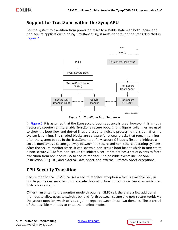### **Support for TrustZone within the Zynq APU**

<span id="page-7-0"></span>For the system to transition from power-on-reset to a stable state with both secure and non-secure applications running simultaneously, it must go through the steps depicted in [Figure 2.](#page-7-0)



*Figure 2:* **TrustZone Boot Sequence**

In [Figure 2,](#page-7-0) it is assumed that the Zynq secure boot sequence is used; however, this is not a necessary requirement to enable TrustZone secure boot. In this figure, solid lines are used to show the boot flow and dotted lines are used to indicate processing transition after the system is running. The shaded blocks are software functional blocks that remain running after the system boots. In the TrustZone boot flow, secure OS boots first and initiates a secure monitor as a secure gateway between the secure and non-secure operating systems. After the secure monitor starts, it can spawn a non-secure boot loader which in turn starts a non-secure OS. Before non-secure OS initiates, secure OS defines a set of events to force transition from non-secure OS to secure monitor. The possible events include SMC instruction, IRQ, FIQ, and external Data Abort, and external Prefetch Abort exceptions.

### **CPU Security Transition**

Secure monitor call (SMC) causes a secure monitor exception which is available only in privileged modes. An attempt to execute this instruction in user mode causes an undefined instruction exception.

Other than entering the monitor mode through an SMC call, there are a few additional methods to allow users to switch back-and-forth between secure and non-secure worlds via the secure monitor, which acts as a gate-keeper between these two domains. These are all of the possible methods to enter the monitor mode:

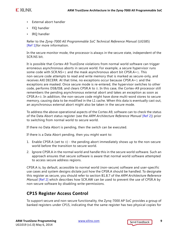- External abort handler
- FIQ handler
- IRQ handler

Refer to the *Zynq-7000 All Programmable SoC Technical Reference Manual* (UG585) [\[Ref 1\]](#page-43-4) for more information.

In the secure monitor mode, the processor is always in the secure state, independent of the SCR.NS bit.

It is possible that Cortex-A9 TrustZone violations from normal world software can trigger erroneous asynchronous aborts in secure world. For example, a secure hypervisor runs some code with SCR.NS=1 and the mask asynchronous abort bit CPSR.A=1. This non-secure code attempts to read and write memory that is marked as secure-only, and receives AXI DECERR. At that time, no exceptions occur because CPSR.A=1 and the exceptions are masked. Once secure mode is re-entered, the hypervisor switches to other code, performs DSB/ISB, and clears CPSR.A to 0. In this case, the Cortex-A9 processor still remembers the pending asynchronous external abort and takes an exception as soon as CPSR.A=0. In addition, the non-secure code might have done multi-word stores to secure memory, causing data to be modified in the L1 cache. When this data is eventually cast out, an asynchronous external abort might also be taken in the secure mode.

To address the above operational aspects of the Cortex A9, software can to check the status of the Data Abort status register (see the *ARM Architecture Reference Manual* [\[Ref 2\]\)](#page-43-5) prior to switching from normal world to secure world.

If there no Data Abort is pending, then the switch can be executed.

If there is a Data Abort pending, then you might want to:

- 1. Enable CPSR.A (set to 0) the pending abort immediately shows up to the non-secure world before the transition to secure world.
- 2. Ignore CPSR.A in the normal world and handle this in the secure world software. Such an approach ensures that secure software is aware that normal world software attempted to access secure address regions.

CPSR.A is, by default, accessible to normal world (non-secure) software and user-specific use cases and system designs dictate just how the CPSR.A should be handled. To designate this register as secure, you should refer to section B1.8.7 of the *ARM Architecture Reference Manual* [\[Ref 2\]](#page-43-5) which describes how SCR.AW can be used to prevent the use of CPSR.A by non-secure software by disabling write-permissions.

### **CP15 Register Access Control**

To support secure and non-secure functionality, the Zynq-7000 AP SoC provides a group of banked registers under CP15, indicating that the same register has two physical copies for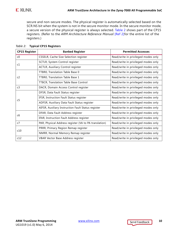secure and non-secure modes. The physical register is automatically selected based on the SCR.NS bit when the system is not in the secure monitor mode. In the secure monitor mode, a secure version of the physical register is always selected. [Table 2](#page-9-0) shows part of the CP15 registers. (Refer to the *ARM Architecture Reference Manual* [\[Ref 2\]f](#page-43-5)or the entire list of the registers.)

| <b>CP15 Register</b> | <b>Banked Register</b>                                | <b>Permitted Accesses</b>           |
|----------------------|-------------------------------------------------------|-------------------------------------|
| c0                   | CSSELR, Cache Size Selection register                 | Read/write in privileged modes only |
|                      | SCTLR, System Control register                        | Read/write in privileged modes only |
| c1                   | ACTLR, Auxiliary Control register                     | Read/write in privileged modes only |
|                      | TTBR0, Translation Table Base 0                       | Read/write in privileged modes only |
| c2                   | TTBR0, Translation Table Base 1                       | Read/write in privileged modes only |
|                      | TTBCR, Translation Table Base Control                 | Read/write in privileged modes only |
| c <sub>3</sub>       | DACR, Domain Access Control register                  | Read/write in privileged modes only |
|                      | DFSR, Data Fault Status register                      | Read/write in privileged modes only |
| c <sub>5</sub>       | IFSR, Instruction Fault Status register               | Read/write in privileged modes only |
|                      | ADFSR, Auxiliary Data Fault Status register           | Read/write in privileged modes only |
|                      | AIFSR, Auxiliary Instruction Fault Status register    | Read/write in privileged modes only |
| c6                   | DFAR, Data Fault Address register                     | Read/write in privileged modes only |
|                      | IFAR, Instruction Fault Address register              | Read/write in privileged modes only |
| c7                   | PAR, Physical Address register (VA to PA translation) | Read/write in privileged modes only |
| c10                  | PRRR, Primary Region Remap register                   | Read/write in privileged modes only |
|                      | NMRR, Normal Memory Remap register                    | Read/write in privileged modes only |
| c12                  | VBAR Vector Base Address register                     | Read/write in privileged modes only |

#### <span id="page-9-0"></span>*Table 2:* **Typical CP15 Registers**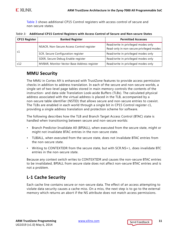[Table 3](#page-10-0) shows additional CP15 Control registers with access control of secure and non-secure states.

| <b>CP15 Register</b> | <b>Banked Register</b>                      | <b>Permitted Accesses</b>                                                       |  |
|----------------------|---------------------------------------------|---------------------------------------------------------------------------------|--|
|                      | NSACR, Non-Secure Access Control register   | Read/write in privileged modes only<br>Read-only in non-secure privileged modes |  |
|                      | SCR, Secure Configuration register          | Read/write in privileged modes only                                             |  |
|                      | SDER, Secure Debug Enable register          | Read/write in privileged modes only                                             |  |
| c12                  | MVBAR, Monitor Vector Base Address register | Read/write in privileged modes only                                             |  |

<span id="page-10-0"></span>*Table 3:* **Additional CP15 Control Registers with Access Control of Secure and Non-secure States**

### **MMU Security**

The MMU in Cortex A9 is enhanced with TrustZone features to provide access permission checks in addition to address translation. In each of the secure and non-secure worlds, a single set of two-level page tables stored in main memory controls the contents of the instruction- and data-side Translation Look-aside Buffers (TLBs). The calculated physical address associated with the virtual address is placed in the TLB, accompanied by a non-secure table identifier (NSTID) that allows secure and non-secure entries to coexist. The TLBs are enabled in each world through a single bit in CP15 Control register c1, providing a single address translation and protection scheme for software.

The following describes how the TLB and Branch Target Access Control (BTAC) state is handled when transitioning between secure and non-secure worlds:

- Branch Predictor Invalidate All (BPIALL), when executed from the secure state, might or might not invalidate BTAC entries in the non-secure state.
- TLBIALL, when executed from the secure state, does not invalidate BTAC entries from the non-secure state.
- Writing to CONTEXTIDR from the secure state, but with SCR.NS=1, does invalidate BTC entries in the non-secure state.

Because any context switch writes to CONTEXTIDR and causes the non-secure BTAC entries to be invalidated, BPIALL from secure state does not affect non-secure BTAC entries and is not a problem.

### **L-1 Cache Security**

Each cache line contains secure or non-secure data. The effect of an access attempting to violate data security causes a cache miss. On a miss, the next step is to go to the external memory which returns an abort if the NS attribute does not match access permissions.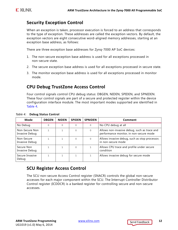### **Security Exception Control**

When an exception is taken, processor execution is forced to an address that corresponds to the type of exception. These addresses are called the exception vectors. By default, the exception vectors are eight consecutive word-aligned memory addresses, starting at an exception base address, as follows:

There are three exception base addresses for Zynq-7000 AP SoC devices:

- 1. The non-secure exception base address is used for all exceptions processed in non-secure state.
- 2. The secure exception base address is used for all exceptions processed in secure state.
- 3. The monitor exception base address is used for all exceptions processed in monitor mode.

### **CPU Debug TrustZone Access Control**

Four control signals control CPU debug status: DBGEN, NIDEN, SPIDEN, and SPNIDEN. These four control signals are part of a secure and protected register within the device configuration interface module. The most important modes supported are identified in [Table 4](#page-11-0).

| Mode                                    | <b>DBGEN</b> | <b>NIDEN</b> | <b>SPIDEN</b> | <b>SPNIDEN</b> | Comment                                                                                 |
|-----------------------------------------|--------------|--------------|---------------|----------------|-----------------------------------------------------------------------------------------|
| No Debug                                | $\Omega$     | $\Omega$     | $\Omega$      | $\Omega$       | No CPU debug at all                                                                     |
| Non-Secure Non<br><b>Invasive Debug</b> |              |              | $\Omega$      | 0              | Allows non-invasive debug, such as trace and<br>performance monitor, in non-secure mode |
| Non-Secure<br><b>Invasive Debug</b>     |              |              | $\Omega$      | $\Omega$       | Allows invasive debug, such as stop processor,<br>in non-secure mode                    |
| Secure Non<br><b>Invasive Debug</b>     |              |              | $\Omega$      | $\mathbf{1}$   | Allows CPU trace and profile under secure<br>condition                                  |
| Secure Invasive<br>Debug                |              |              |               | $\mathbf{1}$   | Allows invasive debug for secure mode                                                   |

#### <span id="page-11-0"></span>*Table 4:* **Debug Status Control**

### **SCU Register Access Control**

The SCU non-secure Access Control register (SNACR) controls the global non-secure accesses for each major component within the SCU. The Interrupt Controller Distributor Control register (ICDDCR) is a banked register for controlling secure and non-secure accesses.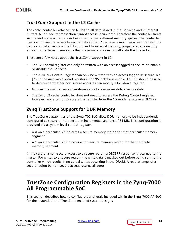### **TrustZone Support in the L2 Cache**

The cache controller attaches an NS bit to all data stored in the L2 cache and in internal buffers. A non-secure transaction cannot access secure data. Therefore the controller treats secure and non-secure data as being part of two different memory spaces. The controller treats a non-secure access to secure data in the L2 cache as a miss. For a read transfer, the cache controller sends a line fill command to external memory, propagates any security errors from external memory to the processor, and does not allocate the line in L2.

These are a few notes about the TrustZone support in L2:

- The L2 Control register can only be written with an access tagged as secure, to enable or disable the L2 cache.
- The Auxiliary Control register can only be written with an access tagged as secure. Bit [26] in the Auxiliary Control register is for NS lockdown enable. This bit should be used to determine whether non-secure accesses can modify a lockdown register.
- Non-secure maintenance operations do not clean or invalidate secure data.
- The Zynq L2 cache controller does not need to access the Debug Control register. However, any attempt to access this register from the NS mode results in a DECERR.

### **Zynq TrustZone Support for DDR Memory**

The TrustZone capabilities of the Zynq-700 SoC allow DDR memory to be independently configured as secure or non-secure in incremental sections of 64 MB. This configuration is provided via a system level control register.

- A 0 on a particular bit indicates a secure memory region for that particular memory segment.
- A 1 on a particular bit indicates a non-secure memory region for that particular memory segment.

In the case of a non-secure access to a secure region, a DECERR response is returned to the master. For writes to a secure region, the write data is masked out before being sent to the controller which results in no actual writes occurring in the DRAM. A read attempt of a secure region by non-secure access returns all zeros.

### <span id="page-12-0"></span>**TrustZone Configuration Registers in the Zynq-7000 All Programmable SoC**

This section describes how to configure peripherals included within the Zynq-7000 AP SoC for the instantiation of TrustZone enabled system designs.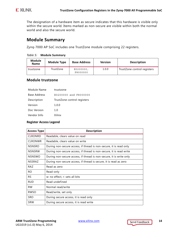The designation of a hardware item as secure indicates that this hardware is visible only within the secure world. Items marked as non-secure are visible within both the normal world and also the secure world.

### **Module Summary**

Zynq-7000 AP SoC includes one TrustZone module comprising 22 registers.

*Table 5:* **Module Summary**

| <b>Module</b><br><b>Name</b> | <b>Module Type</b> | <b>Base Address</b>   | <b>Version</b> | <b>Description</b>          |
|------------------------------|--------------------|-----------------------|----------------|-----------------------------|
| trustzone                    | TrustZone          | E0200000,<br>F8000000 | 1.0.0          | TrustZone control registers |

#### **Module trustzone**

| Module Name  | trustzone                   |
|--------------|-----------------------------|
| Base Address | E0200000 and F8000000       |
| Description  | TrustZone control registers |
| Version      | 1.0.0                       |
| Doc Version  | 1.0                         |
| Vendor Info  | Xilinx                      |

#### **Register Access Legend**

| <b>Access Type</b> | <b>Description</b>                                                  |  |  |  |
|--------------------|---------------------------------------------------------------------|--|--|--|
| <b>CLRONRD</b>     | Readable, clears value on read                                      |  |  |  |
| <b>CLRONWR</b>     | Readable, clears value on write                                     |  |  |  |
| <b>NSNSRO</b>      | During non-secure access, if thread is non-secure, it is read only  |  |  |  |
| <b>NSNSRW</b>      | During non-secure access, if thread is non-secure, it is read write |  |  |  |
| <b>NSNSWO</b>      | During non-secure access, if thread is non-secure, it is write only |  |  |  |
| <b>NSSRAZ</b>      | During non-secure access, if thread is secure, it is read as zero   |  |  |  |
| <b>RAZ</b>         | Read as zero                                                        |  |  |  |
| <b>RO</b>          | Read-only                                                           |  |  |  |
| RS.                | w: no effect, r: sets all bits                                      |  |  |  |
| <b>RUD</b>         | Read undefined                                                      |  |  |  |
| <b>RW</b>          | Normal read/write                                                   |  |  |  |
| <b>RWSO</b>        | Read/write, set only                                                |  |  |  |
| <b>SRO</b>         | During secure access, it is read only                               |  |  |  |
| <b>SRW</b>         | During secure access, it is read write                              |  |  |  |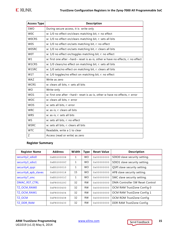| <b>Access Type</b> | <b>Description</b>                                                              |
|--------------------|---------------------------------------------------------------------------------|
| SWO                | During secure access, it is write only                                          |
| W <sub>0</sub> C   | w: 1/0 no effect on/clears matching bit, r: no effect                           |
| <b>WOCRS</b>       | w: 1/0 no effect on/clears matching bit, r: sets all bits                       |
| W <sub>0</sub> S   | w: 1/0 no effect on/sets matching bit, r: no effect                             |
| <b>W0SRC</b>       | w: 1/0 no effect on/sets matching bit, r: clears all bits                       |
| W <sub>0</sub> T   | w: 1/0 no effect on/toggles matching bit, r: no effect                          |
| W1                 | w: first one after ~hard~ reset is as-is, other w have no effects, r: no effect |
| W1CRS              | w: 1/0 clears/no effect on matching bit, r: sets all bits                       |
| W1SRC              | w: 1/0 sets/no effect on matching bit, r: clears all bits                       |
| W1T                | w: 1/0 toggles/no effect on matching bit, r: no effect                          |
| WA7                | Write as zero                                                                   |
| <b>WCRS</b>        | w: clears all bits, r: sets all bits                                            |
| <b>WO</b>          | Write-only                                                                      |
| WO1                | w: first one after ~hard~ reset is as-is, other w have no effects, r: error     |
| <b>WOC</b>         | w: clears all bits, r: error                                                    |
| <b>WOS</b>         | w: sets all bits, r: error                                                      |
| <b>WRC</b>         | w: as-is, r: clears all bits                                                    |
| <b>WRS</b>         | w: as-is, r: sets all bits                                                      |
| <b>WS</b>          | w: sets all bits, r: no effect                                                  |
| <b>WSRC</b>        | w: sets all bits, r: clears all bits                                            |
| <b>WTC</b>         | Readable, write a 1 to clear                                                    |
| Ζ                  | Access (read or write) as zero                                                  |

#### **Register Summary**

| <b>Register Name</b> | <b>Address</b> | Width | <b>Type</b> | <b>Reset Value</b> | <b>Description</b>              |
|----------------------|----------------|-------|-------------|--------------------|---------------------------------|
| security2_sdio0      | 0xE0200008     | 1     | <b>WO</b>   | 0x00000000         | SDIO0 slave security setting.   |
| security3_sdio1      | 0xE020000C     | 1     | <b>WO</b>   | 0x00000000         | SDIO1 slave security setting.   |
| security4_qspi       | 0xE0200010     | 1     | <b>WO</b>   | 0x00000000         | QSPI slave security setting.    |
| security6_apb_slaves | 0xE0200018     | 15    | <b>WO</b>   | 0x00000000         | APB slave security setting.     |
| security7_smc        | 0xE020001C     | 1     | <b>WO</b>   | 0x00000000         | SMC slave security setting.     |
| DMAC_RST_CTRL        | 0xF800020C     | 32    | <b>RW</b>   | 0x00000000         | DMA Controller SW Reset Control |
| TZ_OCM_RAM0          | 0xF8000400     | 32    | <b>RW</b>   | 0x00000000         | OCM RAM TrustZone Config 0      |
| TZ_OCM_RAM1          | 0xF8000404     | 32    | <b>RW</b>   | 0x00000000         | OCM RAM TrustZone Config 1      |
| <b>TZ OCM</b>        | 0xF8000408     | 32    | <b>RW</b>   | 0x00000000         | OCM ROM TrustZone Config        |
| TZ_DDR_RAM           | 0xF8000430     | 32    | <b>RW</b>   | 0x00000000         | DDR RAM TrustZone Config        |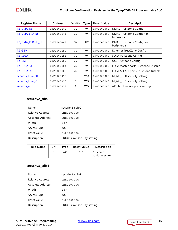| <b>Register Name</b> | <b>Address</b> | Width        | <b>Type</b> | <b>Reset Value</b> | <b>Description</b>                       |
|----------------------|----------------|--------------|-------------|--------------------|------------------------------------------|
| <b>TZ DMA NS</b>     | 0xF8000440     | 32           | <b>RW</b>   | 0x00000000         | <b>DMAC TrustZone Config</b>             |
| TZ_DMA_IRQ_NS        | 0xF8000444     | 32           | <b>RW</b>   | 0x00000000         | DMAC TrustZone Config for<br>Interrupts  |
| TZ_DMA_PERIPH_NS     | 0xF8000448     | 32           | <b>RW</b>   | 0x00000000         | DMAC TrustZone Config for<br>Peripherals |
| <b>TZ GEM</b>        | 0xF8000450     | 32           | <b>RW</b>   | 0x00000000         | Ethernet TrustZone Config                |
| TZ_SDIO              | 0xF8000454     | 32           | <b>RW</b>   | 0x00000000         | SDIO TrustZone Config                    |
| TZ_USB               | 0xF8000458     | 32           | <b>RW</b>   | 0x00000000         | <b>USB TrustZone Config</b>              |
| <b>TZ FPGA M</b>     | 0xF8000484     | 32           | <b>RW</b>   | 0x00000000         | FPGA master ports TrustZone Disable      |
| TZ FPGA AFI          | 0xF8000488     | 32           | <b>RW</b>   | 0x00000000         | FPGA AFI AXI ports TrustZone Disable     |
| security_fssw_s0     | 0xF890001C     | $\mathbf{1}$ | <b>WO</b>   | 0x00000000         | M_AXI_GP0 security setting               |
| security_fssw_s1     | 0xF8900020     | 1            | <b>WO</b>   | 0x00000000         | M_AXI_GP1 security setting               |
| security_apb         | 0xF8900028     | 6            | <b>WO</b>   | 0x00000000         | APB boot secure ports setting.           |

#### <span id="page-15-0"></span>**security2\_sdio0**

| Name             | security2_sdio0              |
|------------------|------------------------------|
| Relative Address | $0 \times E0200008$          |
| Absolute Address | 0xE0200008                   |
| Width            | 1 bit                        |
| Access Type      | <b>WO</b>                    |
| Reset Value      | $0 \times 00000000$          |
| Description      | SDIO0 slave security setting |

| <b>Field Name</b> | Bit | Type | <b>Reset Value</b> | <b>Description</b>         |
|-------------------|-----|------|--------------------|----------------------------|
|                   |     | WO   | $0 \times 0$       | 0: Secure<br>1: Non-secure |

#### <span id="page-15-1"></span>**security3\_sdio1**

| Name             | security3_sdio1              |
|------------------|------------------------------|
| Relative Address | $0 \times E020000C$          |
| Absolute Address | $0 \times E020000C$          |
| Width            | 1 bit                        |
| Access Type      | WO                           |
| Reset Value      | 0x00000000                   |
| Description      | SDIO1 slave security setting |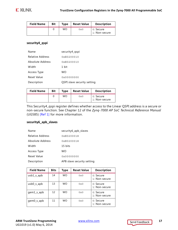| <b>Field Name</b> | Bit | <b>Type</b> | <b>Reset Value</b> | <b>Description</b>         |
|-------------------|-----|-------------|--------------------|----------------------------|
|                   |     | WO          | 0x0                | 0: Secure<br>1: Non-secure |

#### <span id="page-16-0"></span>**security4\_qspi**

| Name             | security4_qspi              |
|------------------|-----------------------------|
| Relative Address | $0 \times E0200010$         |
| Absolute Address | $0 \times F0200010$         |
| Width            | 1 bit                       |
| Access Type      | WO                          |
| Reset Value      | 0x00000000                  |
| Description      | QSPI slave security setting |

| <b>Field Name</b> | <b>Bit</b> | Type | <b>Reset Value</b> | <b>Description</b>         |
|-------------------|------------|------|--------------------|----------------------------|
|                   |            | WO   | $0 \times 0$       | 0: Secure<br>1: Non-secure |

This Security4\_qspi register defines whether access to the Linear QSPI address is a secure or non-secure function. See Chapter 12 of the *Zynq-7000 AP SoC Technical Reference Manual* (UG585) [\[Ref 1\]](#page-43-4) for more information.

#### <span id="page-16-1"></span>**security6\_apb\_slaves**

| Name             | security6_apb_slaves       |
|------------------|----------------------------|
| Relative Address | $0 \times F0200018$        |
| Absolute Address | $0 \times F0200018$        |
| Width            | 15 bits                    |
| Access Type      | WΩ                         |
| Reset Value      | $0 \times 00000000$        |
| Description      | APB slave security setting |

| <b>Field Name</b> | <b>Bits</b> | Type      | <b>Reset Value</b> | <b>Description</b>           |
|-------------------|-------------|-----------|--------------------|------------------------------|
| $usb1_s$ _apb     | 14          | <b>WO</b> | $0 \times 0$       | 0: Secure<br>1: Non-secure   |
| $usb0_s$ _apb     | 13          | <b>WO</b> | $0 \times 0$       | 0: Secure<br>1: Non-secure   |
| gem1_s_apb        | 12          | <b>WO</b> | $0 \times 0$       | $0:$ Secure<br>1: Non-secure |
| gem0_s_apb        | 11          | <b>WO</b> | $0 \times 0$       | 0: Secure<br>1: Non-secure   |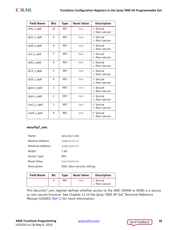| <b>Field Name</b>         | <b>Bits</b>    | <b>Type</b> | <b>Reset Value</b> | Description                |
|---------------------------|----------------|-------------|--------------------|----------------------------|
| smc s apb                 | 10             | <b>WO</b>   | 0x0                | 0: Secure<br>1: Non-secure |
| spi1_s_apb                | 9              | <b>WO</b>   | 0x0                | 0: Secure<br>1: Non-secure |
| spi0_s_apb                | 8              | <b>WO</b>   | $0 \times 0$       | 0: Secure<br>1: Non-secure |
| ua1_s_apb                 | 7              | <b>WO</b>   | $0 \times 0$       | 0: Secure<br>1: Non-secure |
| ua0_s_apb                 | 6              | <b>WO</b>   | $0 \times 0$       | 0: Secure<br>1: Non-secure |
| i2c1_s_apb                | 5              | <b>WO</b>   | 0x0                | 0: Secure<br>1: Non-secure |
| $i2c0$ <sub>_5</sub> _apb | $\overline{4}$ | <b>WO</b>   | $0 \times 0$       | 0: Secure<br>1: Non-secure |
| gpio_s_apb                | 3              | <b>WO</b>   | 0x0                | 0: Secure<br>1: Non-secure |
| qspi_s_apb                | $\mathcal{P}$  | <b>WO</b>   | 0x0                | 0: Secure<br>1: Non-secure |
| $can1_s$ _apb             | 1              | <b>WO</b>   | 0x0                | 0: Secure<br>1: Non-secure |
| $can0_s$ _apb             | $\Omega$       | <b>WO</b>   | $0 \times 0$       | 0: Secure<br>1: Non-secure |

#### <span id="page-17-0"></span>**security7\_smc**

| Name             | security7_smc              |
|------------------|----------------------------|
| Relative Address | $0 \times F020001C$        |
| Absolute Address | $0 \times E020001C$        |
| Width            | 1 bit                      |
| Access Type      | WO                         |
| Reset Value      | $0 \times 00000000$        |
| Description      | SMC slave security setting |

| <b>Field Name</b> | Bit | <b>Type</b> | <b>Reset Value</b> | <b>Description</b>         |
|-------------------|-----|-------------|--------------------|----------------------------|
|                   |     | WO          | $0 \times 0$       | 0: Secure<br>1: Non-secure |

This Security7\_smc register defines whether access to the SMC (SRAM or NOR) is a secure or non-secure function. See Chapter 11 of the *Zynq-7000 AP SoC Technical Reference Manual* (UG585) [\[Ref 1\]](#page-43-4) for more information.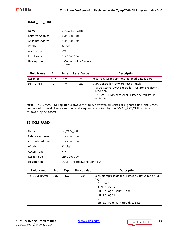#### <span id="page-18-0"></span>**DMAC\_RST\_CTRL**

| Name             | DMAC RST CTRL                      |
|------------------|------------------------------------|
| Relative Address | $0 \times F800020C$                |
| Absolute Address | $0 \times F800020C$                |
| Width            | 32 bits                            |
| Access Type      | <b>RW</b>                          |
| Reset Value      | $0 \times 00000000$                |
| Description      | DMA controller SW reset<br>control |

| <b>Field Name</b> | <b>Bit</b> | <b>Type</b> | <b>Reset Value</b> | <b>Description</b>                                                                                                                                                        |
|-------------------|------------|-------------|--------------------|---------------------------------------------------------------------------------------------------------------------------------------------------------------------------|
| Reserved          | 31:1       | <b>RW</b>   | 0x0                | Reserved. Writes are ignored, read data is zero.                                                                                                                          |
| DMAC_RST          | 0          | <b>RW</b>   | 0x0                | DMA Controller software reset signal:<br>0: De-assert (DMA controller TrustZone register is<br>read only)<br>1: Assert (DMA controller TrustZone register is<br>writable) |

*Note:* This DMAC\_RST register is always writable, however, all writes are ignored until the DMAC comes out of reset. Therefore, the reset sequence required by the DMAC\_RST\_CTRL is: Assert followed by de-assert.

#### <span id="page-18-1"></span>**TZ\_OCM\_RAM0**

| Name             | TZ OCM RAM0                |
|------------------|----------------------------|
| Relative Address | 0 x F8000400               |
| Absolute Address | 0xF8000400                 |
| Width            | 32 bits                    |
| Access Type      | RW                         |
| Reset Value      | $0 \times 00000000$        |
| Description      | OCM RAM TrustZone Config 0 |

| <b>Field Name</b> | Bit  | <b>Type</b> | <b>Reset Value</b> | <b>Description</b>                                                                                                                                                                                |
|-------------------|------|-------------|--------------------|---------------------------------------------------------------------------------------------------------------------------------------------------------------------------------------------------|
| TZ_OCM_RAM0       | 31:0 | <b>RW</b>   | 0x0                | Each bit represents the TrustZone status for a 4 KB<br>page:<br>$\cdot$ 0: Secure<br>• 1: Non-secure<br>Bit [0]: Page 0 (first 4 KB)<br>Bit [1]: Page 1<br><br>Bit [31]: Page 31 (through 128 KB) |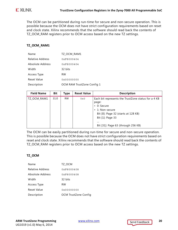The OCM can be partitioned during run-time for secure and non-secure operation. This is possible because the OCM does not have strict configuration requirements based on reset and clock state. Xilinx recommends that the software should read back the contents of TZ OCM RAM registers prior to OCM access based on the new TZ settings.

#### <span id="page-19-0"></span>**TZ\_OCM\_RAM1**

| Name             | TZ OCM RAM1                |
|------------------|----------------------------|
| Relative Address | 0xF8000404                 |
| Absolute Address | 0xF8000404                 |
| Width            | 32 bits                    |
| Access Type      | RW                         |
| Reset Value      | 0x00000000                 |
| Description      | OCM RAM TrustZone Config 1 |

| <b>Field Name</b> | <b>Bit</b> | Type      | <b>Reset Value</b> | <b>Description</b>                                                                                                                                                                                        |
|-------------------|------------|-----------|--------------------|-----------------------------------------------------------------------------------------------------------------------------------------------------------------------------------------------------------|
| TZ_OCM_RAM1       | 31:0       | <b>RW</b> | 0x0                | Each bit represents the TrustZone status for a 4 KB<br>page:<br>$\cdot$ 0: Secure<br>• 1: Non-secure<br>Bit [0]: Page 32 (starts at 128 KB)<br>Bit [1]: Page 33<br><br>Bit [31]: Page 63 (through 256 KB) |

The OCM can be easily partitioned during run-time for secure and non-secure operation. This is possible because the OCM does not have strict configuration requirements based on reset and clock state. Xilinx recommends that the software should read back the contents of TZ\_OCM\_RAM registers prior to OCM access based on the new TZ settings.

#### <span id="page-19-1"></span>**TZ\_OCM**

| Name                    | TZ OCM               |
|-------------------------|----------------------|
| <b>Relative Address</b> | 0xF8000408           |
| Absolute Address        | 0xF8000408           |
| Width                   | 32 bits              |
| Access Type             | <b>RW</b>            |
| Reset Value             | $0 \times 00000000$  |
| Description             | OCM TrustZone Config |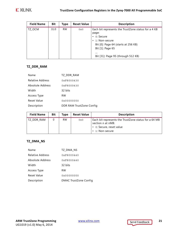| <b>Field Name</b> | Bit  | <b>Type</b> | <b>Reset Value</b> | <b>Description</b>                                                                                                                                                                                                |
|-------------------|------|-------------|--------------------|-------------------------------------------------------------------------------------------------------------------------------------------------------------------------------------------------------------------|
| TZ_OCM            | 31:0 | <b>RW</b>   | 0x0                | Each bit represents the TrustZone status for a 4 KB<br>page:<br>$\cdot$ 0: Secure<br>• 1: Non-secure<br>Bit [0]: Page 64 (starts at 256 KB)<br>Bit [1]: Page 65<br>$\cdots$<br>Bit [31]: Page 95 (through 512 KB) |

#### <span id="page-20-0"></span>**TZ\_DDR\_RAM**

| Name             | TZ DDR RAM               |
|------------------|--------------------------|
| Relative Address | 0 x F8000430             |
| Absolute Address | 0xF8000430               |
| Width            | 32 bits                  |
| Access Type      | RW                       |
| Reset Value      | $0 \times 00000000$      |
| Description      | DDR RAM TrustZone Config |

| <b>Field Name</b> | Bit | Type      | <b>Reset Value</b> | <b>Description</b>                                                                                                   |
|-------------------|-----|-----------|--------------------|----------------------------------------------------------------------------------------------------------------------|
| TZ DDR RAM        |     | <b>RW</b> | 0x0                | Each bit represents the TrustZone status for a 64 MB<br>section n at nMB:<br>0: Secure, reset value<br>1: Non-secure |

#### <span id="page-20-1"></span>**TZ\_DMA\_NS**

| Name                    | TZ DMA NS                    |
|-------------------------|------------------------------|
| <b>Relative Address</b> | 0xF8000440                   |
| Absolute Address        | 0xF8000440                   |
| Width                   | 32 bits                      |
| Access Type             | <b>RW</b>                    |
| <b>Reset Value</b>      | $0 \times 00000000$          |
| Description             | <b>DMAC TrustZone Config</b> |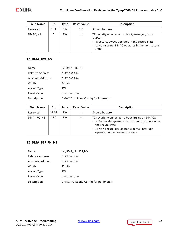| <b>Field Name</b> | <b>Bit</b> | Type      | <b>Reset Value</b> | <b>Description</b>                                                                                                                                                  |
|-------------------|------------|-----------|--------------------|---------------------------------------------------------------------------------------------------------------------------------------------------------------------|
| Reserved          | 31:1       | <b>RW</b> | 0x0                | Should be zero.                                                                                                                                                     |
| DMAC NS           | 0          | <b>RW</b> | 0x0                | TZ security (connected to boot_manager_ns on<br>DMAC):<br>• 0: Secure, DMAC operates in the secure state<br>1: Non-secure, DMAC operates in the non-secure<br>state |

#### <span id="page-21-0"></span>**TZ\_DMA\_IRQ\_NS**

| Name             | TZ DMA IRO NS                        |
|------------------|--------------------------------------|
| Relative Address | 0xF8000444                           |
| Absolute Address | 0xF8000444                           |
| Width            | 32 bits                              |
| Access Type      | <b>RW</b>                            |
| Reset Value      | 0x00000000                           |
| Description      | DMAC TrustZone Config for interrupts |

| <b>Field Name</b> | Bit   | Type      | <b>Reset Value</b> | <b>Description</b>                                                                                                                                                                                                |
|-------------------|-------|-----------|--------------------|-------------------------------------------------------------------------------------------------------------------------------------------------------------------------------------------------------------------|
| Reserved          | 31:16 | <b>RW</b> | $0 \times 0$       | Should be zero.                                                                                                                                                                                                   |
| DMA IRQ NS        | 15:0  | <b>RW</b> | 0x0                | TZ security (connected to boot_irq_ns on DMAC):<br>• 0: Secure, designated external interrupt operates in<br>the secure state<br>1: Non-secure, designated external interrupt<br>operates in the non-secure state |

#### <span id="page-21-1"></span>**TZ\_DMA\_PERIPH\_NS**

| Name             | TZ DMA PERIPH NS                      |
|------------------|---------------------------------------|
| Relative Address | 0xF8000448                            |
| Absolute Address | 0xF8000448                            |
| Width            | 32 bits                               |
| Access Type      | <b>RW</b>                             |
| Reset Value      | $0 \times 00000000$                   |
| Description      | DMAC TrustZone Config for peripherals |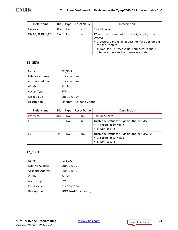| <b>Field Name</b> | <b>Bit</b> | <b>Type</b> | <b>Reset Value</b> | <b>Description</b>                                                                                                                                                                                                                   |
|-------------------|------------|-------------|--------------------|--------------------------------------------------------------------------------------------------------------------------------------------------------------------------------------------------------------------------------------|
| Reserved          | 31:4       | <b>RW</b>   | $0 \times 0$       | Should be zero.                                                                                                                                                                                                                      |
| DMAC PERIPH NS    | 3:0        | <b>RW</b>   | $0 \times 0$       | TZ security (connected to to boot_periph_ns on<br>DMAC):<br>• 0: Secure, peripheral request interface operates in<br>the secure state<br>• 1: Non-secure, reset value; peripheral request<br>interface operates the non-secure state |

#### <span id="page-22-0"></span>**TZ\_GEM**

| Name             | TZ GEM                    |
|------------------|---------------------------|
| Relative Address | 0xF8000450                |
| Absolute Address | 0xF8000450                |
| Width            | 32 bits                   |
| Access Type      | <b>RW</b>                 |
| Reset Value      | $0 \times 00000000$       |
| Description      | Ethernet TrustZone Config |

| <b>Field Name</b> | Bit  | Type      | <b>Reset Value</b> | <b>Description</b>                                                                          |
|-------------------|------|-----------|--------------------|---------------------------------------------------------------------------------------------|
| Reserved          | 31:2 | <b>RW</b> | 0x0                | Should be zero.                                                                             |
| E1                |      | <b>RW</b> | 0x0                | TrustZone status for Gigabit Ethernet MAC 1:<br>• 0: Secure, reset value<br>• 1: Non-secure |
| E0                | 0    | <b>RW</b> | 0x0                | TrustZone status for Gigabit Ethernet MAC 0:<br>• 0: Secure, reset value<br>1: Non-secure   |

#### <span id="page-22-1"></span>**TZ\_SDIO**

| Name                    | TZ SDIO               |
|-------------------------|-----------------------|
| <b>Relative Address</b> | 0xF8000454            |
| Absolute Address        | 0xF8000454            |
| Width                   | 32 bits               |
| Access Type             | RW                    |
| Reset Value             | $0 \times 00000000$   |
| Description             | SDIO TrustZone Config |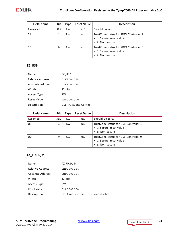| <b>Field Name</b> | Bit  | Type      | <b>Reset Value</b> | <b>Description</b>                                                                                |
|-------------------|------|-----------|--------------------|---------------------------------------------------------------------------------------------------|
| Reserved          | 31:2 | <b>RW</b> | $0 \times 0$       | Should be zero.                                                                                   |
| S1                |      | <b>RW</b> | $0 \times 0$       | TrustZone status for SDIO Controller 1:<br>• 0: Secure, reset value<br>• 1: Non-secure            |
| S0                | 0    | <b>RW</b> | 0x0                | TrustZone status for SDIO Controller 0:<br>• 0: Secure, reset value<br>1: Non-secure<br>$\bullet$ |

#### <span id="page-23-0"></span>**TZ\_USB**

| Name             | TZ USB                      |
|------------------|-----------------------------|
| Relative Address | 0 x F8000458                |
| Absolute Address | 0xF8000458                  |
| Width            | 32 bits                     |
| Access Type      | RW                          |
| Reset Value      | $0 \times 00000000$         |
| Description      | <b>USB TrustZone Config</b> |

| <b>Field Name</b> | <b>Bit</b> | <b>Type</b> | <b>Reset Value</b> | <b>Description</b>                                                                    |
|-------------------|------------|-------------|--------------------|---------------------------------------------------------------------------------------|
| Reserved          | 31:2       | <b>RW</b>   | 0x0                | Should be zero.                                                                       |
| U1                |            | <b>RW</b>   | 0x0                | TrustZone status for USB Controller 1:<br>• 0: Secure, reset value<br>• 1: Non-secure |
| U0                | 0          | <b>RW</b>   | 0x0                | TrustZone status for USB Controller 0:<br>• 0: Secure, reset value<br>• 1: Non-secure |

#### <span id="page-23-1"></span>**TZ\_FPGA\_M**

| Name             | TZ FPGA M                           |
|------------------|-------------------------------------|
| Relative Address | 0xF8000484                          |
| Absolute Address | 0xF8000484                          |
| Width            | 32 bits                             |
| Access Type      | <b>RW</b>                           |
| Reset Value      | $0 \times 00000000$                 |
| Description      | FPGA master ports TrustZone disable |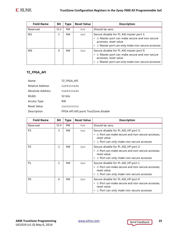| <b>Field Name</b> | Bit  | <b>Type</b> | <b>Reset Value</b> | <b>Description</b>                                                                                                                                                         |
|-------------------|------|-------------|--------------------|----------------------------------------------------------------------------------------------------------------------------------------------------------------------------|
| Reserved          | 31:2 | <b>RW</b>   | $0 \times 0$       | Should be zero.                                                                                                                                                            |
| M1                |      | <b>RW</b>   | 0x0                | Secure disable for PL AXI master port 1:<br>• 0: Master port can make secure and non-secure<br>accesses, reset value<br>• 1: Master port can only make non-secure accesses |
| M <sub>0</sub>    | 0    | <b>RW</b>   | 0x0                | Secure disable for PL AXI master port 0:<br>• 0: Master port can make secure and non-secure<br>accesses, reset value<br>• 1: Master port can only make non-secure accesses |

#### <span id="page-24-0"></span>**TZ\_FPGA\_AFI**

| Name             | TZ FPGA AFI                          |
|------------------|--------------------------------------|
| Relative Address | 0xF8000488                           |
| Absolute Address | 0xF8000488                           |
| Width            | 32 bits                              |
| Access Type      | <b>RW</b>                            |
| Reset Value      | $0 \times 00000000$                  |
| Description      | FPGA AFI AXI ports TrustZone disable |
|                  |                                      |

| <b>Field Name</b> | Bit           | <b>Type</b> | <b>Reset Value</b> | <b>Description</b>                                                                                                                                       |
|-------------------|---------------|-------------|--------------------|----------------------------------------------------------------------------------------------------------------------------------------------------------|
| Reserved          | 31:4          | <b>RW</b>   | 0x0                | Should be zero.                                                                                                                                          |
| P <sub>3</sub>    | 3             | <b>RW</b>   | 0x0                | Secure disable for PL AXI_HP port 3:<br>• 0: Port can make secure and non-secure accesses,<br>reset value<br>• 1: Port can only make non-secure accesses |
| P <sub>2</sub>    | $\mathcal{P}$ | <b>RW</b>   | 0x0                | Secure disable for PL AXI_HP port 2:<br>• 0: Port can make secure and non-secure accesses,<br>reset value<br>• 1: Port can only make non-secure accesses |
| P1                | 1             | <b>RW</b>   | 0x0                | Secure disable for PL AXI_HP port 1<br>• 0: Port can make secure and non-secure accesses.<br>reset value<br>• 1: Port can only make non-secure accesses  |
| P <sub>0</sub>    | $\Omega$      | <b>RW</b>   | 0x0                | Secure disable for PL AXI_HP port 0<br>• 0: Port can make secure and non-secure accesses,<br>reset value<br>• 1: Port can only make non-secure accesses  |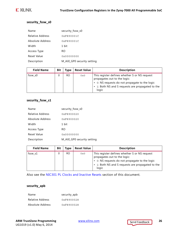#### <span id="page-25-0"></span>**security\_fssw\_s0**

| Name                    | security_fssw_s0           |
|-------------------------|----------------------------|
| <b>Relative Address</b> | 0xF890001C                 |
| Absolute Address        | 0xF890001C                 |
| Width                   | 1 bit                      |
| Access Type             | RO                         |
| Reset Value             | $0 \times 00000000$        |
| Description             | M_AXI_GP0 security setting |

| <b>Field Name</b> | <b>Bit</b> | <b>Type</b> | <b>Reset Value</b> | <b>Description</b>                                                                                                                                                                            |
|-------------------|------------|-------------|--------------------|-----------------------------------------------------------------------------------------------------------------------------------------------------------------------------------------------|
| fssw s0           |            | RO          | 0x0                | This register defines whether S or NS request<br>propagates out to the logic:<br>• 0: NS requests do not propagate to the logic<br>• 1: Both NS and S requests are propagated to the<br>logic |

#### <span id="page-25-1"></span>**security\_fssw\_s1**

| Name                    | security_fssw_s0           |
|-------------------------|----------------------------|
| <b>Relative Address</b> | 0xF8900020                 |
| Absolute Address        | 0xF8900020                 |
| Width                   | 1 bit                      |
| Access Type             | RO                         |
| <b>Reset Value</b>      | $0 \times 00000000$        |
| Description             | M_AXI_GP0 security setting |

| <b>Field Name</b> | <b>Bit</b> | <b>Type</b> | <b>Reset Value</b> | <b>Description</b>                                                                                                                                                                            |
|-------------------|------------|-------------|--------------------|-----------------------------------------------------------------------------------------------------------------------------------------------------------------------------------------------|
| fssw s1           |            | RO          | 0x0                | This register defines whether S or NS request<br>propagates out to the logic:<br>• 0: NS requests do not propagate to the logic<br>• 1: Both NS and S requests are propagated to the<br>logic |

Also see the [NIC301 PL Clocks and Inactive Resets](#page-27-0) section of this document.

#### <span id="page-25-2"></span>**security\_apb**

| Name                    | security_apb |
|-------------------------|--------------|
| <b>Relative Address</b> | 0xF8900028   |
| Absolute Address        | 0xF8900028   |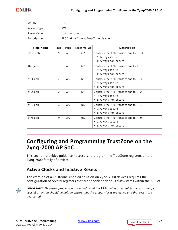| Width       | 6 bits                               |
|-------------|--------------------------------------|
| Access Type | <b>RW</b>                            |
| Reset Value | 0x00000000                           |
| Description | FPGA AFI AXI ports TrustZone disable |

| <b>Field Name</b> | Bit           | <b>Type</b> | <b>Reset Value</b> | <b>Description</b>                                                                                          |
|-------------------|---------------|-------------|--------------------|-------------------------------------------------------------------------------------------------------------|
| ddrc_apb          | 5             | <b>WO</b>   | $0 \times 0$       | Controls the APB transactions to DDRC:<br>• 0: Always secure<br>1: Always non-secure<br>$\bullet$           |
| ttc1_apb          | 4             | <b>WO</b>   | $0 \times 0$       | Controls the APB transactions to TTC1:<br>• 0: Always secure<br>1: Always non-secure<br>$\bullet$           |
| afi3_apb          | 3             | <b>WO</b>   | $0 \times 0$       | Controls the APB transactions to HP3:<br>• 0: Always secure<br>1: Always non-secure<br>$\bullet$            |
| afi2_apb          | $\mathcal{P}$ | <b>WO</b>   | $0 \times 0$       | Controls the APB transactions to HP2:<br>• 0: Always secure<br>1: Always non-secure<br>$\bullet$            |
| afi1_apb          | 1             | <b>WO</b>   | $0 \times 0$       | Controls the APB transactions to HP1:<br>• 0: Always secure<br>1: Always non-secure<br>$\bullet$            |
| afi0_apb          | $\Omega$      | <b>WO</b>   | $0 \times 0$       | Controls the APB transactions to HP0:<br>0: Always secure<br>$\bullet$<br>1: Always non-secure<br>$\bullet$ |

### <span id="page-26-0"></span>**Configuring and Programming TrustZone on the Zynq-7000 AP SoC**

This section provides guidance necessary to program the TrustZone registers on the Zynq-7000 family of devices.

### **Active Clocks and Inactive Resets**

The creation of a TrustZone-enabled solution on Zynq-7000 devices requires the configuration of several registers that are specific to various subsystems within the AP SoC.



**IMPORTANT:** *To ensure proper operation and avoid the PS hanging on a register access attempt, special attention should be paid to ensure that the proper clocks are active and that resets are deasserted.* 

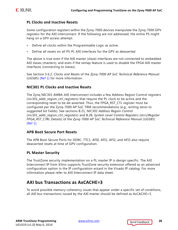#### **PL Clocks and Inactive Resets**

Some configuration registers within the Zynq-7000 devices manipulate the Zynq-7000 GPV registers for the AXI interconnect. If the following are not addressed, the entire PS might hang on a GPV access attempt.

- Define all clocks within the Programmable Logic as *active*.
- Define all resets on all PS-PL AXI interfaces for the GPV as *deasserted*.

The above is true even if the AXI master (slave) interfaces are not connected to embedded AXI slaves (masters), and even if the remap feature is used to disable the FPGA AXI master interfaces (connecting to slaves).

See Section 5.6.2, *Clocks and Resets* of the *Zynq-7000 AP SoC Technical Reference Manual* (UG585) [\[Ref 1\]](#page-43-4) for more information.

#### <span id="page-27-0"></span>**NIC301 PL Clocks and Inactive Resets**

The Zynq NIC301 AMBA-AXI interconnect includes a few Address Region Control registers (nic301\_addr\_region\_ctrl\_registers) that require the PL clock to be active and the corresponding reset to be de-asserted. Thus, the FPGA\_RST\_CTL register must be configured per the Zynq-7000 AP SoC TRM recommendations (e.g., writing zeros to suggested bit fields). See sections B.21, *NIC301 Address Region Control* (nic301\_addr\_region\_ctrl\_registers) and B.28, *System Level Control Registers* (slcr)/*Register FPGA\_RST\_CTRL Details*) of the *Zynq-7000 AP SoC Technical Reference Manual* (UG585) [\[Ref 1\]](#page-43-4).

#### **APB Boot Secure Port Resets**

The APB Boot Secure Ports for DDRC, TTC1, AFI0, AFI1, AFI2, and AFI3 also require deasserted resets at time of GPV configuration.

#### **PL Master Security**

The TrustZone security implementation on a PL master IP is design specific. The AXI Interconnect IP from Xilinx supports TrustZone security extension offered as an advanced configuration option in the IP configuration wizard in the Vivado IP catalog. For more information please refer to AXI Interconnect IP data sheet.

### **AXI bus Transactions as AxCACHE=3**

To avoid possible memory coherency issues that appear under a specific set of conditions, all AXI bus transactions issued by the AXI master should be defined as AxCACHE=3.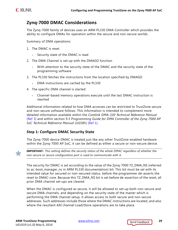### **Zynq-7000 DMAC Considerations**

The Zynq-7000 family of devices uses an ARM PL330 DMA Controller which provides the ability to configure DMAs for operation within the secure and non-secure worlds.

Summary of DMA operations:

- 1. The DMAC is reset
	- ° Security state of the DMAC is read
- 2. The DMA Channel is set-up with the DMAGO function
	- With attention to the security state of the DMAC and the security state of the programming software
- 3. The PL330 fetches the instructions from the location specified by DMAGO
	- DMA instructions are cached by the PL330
- 4. The specific DMA channel is started
	- Channel-based memory operations execute until the last DMAC instruction is reached

Additional information related to how DMA accesses can be restricted to TrustZone secure and non-secure software follows. This information is intended to complement more detailed information available within the *Corelink DMA-330 Technical Reference Manual* [\[Ref 3\]](#page-43-6) and within section 9.3 *Programming Guide for DMA Controller of the Zynq-7000 AP SoC Technical Reference Manual* (UG585) [\[Ref 1\].](#page-43-4)

#### **Step 1: Configure DMAC Security State**

The Zynq-7000 device DMAC is treated just like any other TrustZone-enabled hardware within the Zynq-7000 AP SoC, it can be defined as either a secure or non-secure device.



**IMPORTANT:** *This setting defines the security status of the whole DMAC regardless of whether the non-secure or secure configuration port is used to communicate with it.*

The security for DMAC is set according to the value of the Zynq-7000 TZ\_DMA\_NS (referred to as: boot manager ns in ARM PL330 documentation) bit. This bit must be *set* with its intended value for secured or non-secured status, before the programmer de-asserts the reset to DMAC-core. Because this TZ\_DMA\_NS bit is set before de-assertion of the reset, all prior DMA channel set-ups are cleared.

When the DMAC is configured as secure, it will be allowed to set-up both non-secure and secure DMA channels, and depending on the security state of the master which is performing the DMA channel setup, it allows access to both secure and non-secure addresses. Such addresses include those where the DMAC instructions are located, and also where the resultant AXI channel Load/Store operations are to take place.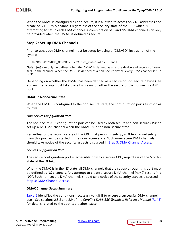When the DMAC is configured as non-secure, it is allowed to access only NS addresses and create only NS DMA channels regardless of the security state of the CPU which is attempting to setup each DMA channel. A combination of S and NS DMA channels can only be provided when the DMAC is defined as secure.

#### **Step 2: Set-up DMA Channels**

Prior to use, each DMA channel must be setup by using a "DMAGO" instruction of the syntax:

DMAGO <CHANNEL NUMBER>, <32-bit immediate>, [ns]

**Note:** [ns] can only be defined when the DMAC is defined as a secure device and secure software sets up the channel. When the DMAC is defined as a non-secure device, every DMA channel set-up is NS.

Depending on whether the DMAC has been defined as a secure or non-secure device (see above), the set-up must take place by means of either the secure or the non-secure APB port.

#### **DMAC in Non-Secure State**

When the DMAC is configured to the non-secure state, the configuration ports function as follows.

#### *Non-Secure Configuration Port*

The non-secure APB configuration port can be used by both secure and non-secure CPUs to set-up a NS DMA channel when the DMAC is in the non-secure state.

Regardless of the security state of the CPU that performs set-up, a DMA channel set-up from this port will be started in the non-secure state. Such non-secure DMA channels should take notice of the security aspects discussed in [Step 3: DMA Channel Access.](#page-30-1)

#### *Secure Configuration Port*

The secure configuration port is accessible only to a secure CPU, regardless of the S or NS state of the DMAC.

When the DMAC is in the NS state, all DMA channels that are set-up through this port must be defined as NS channels. Any attempt to create a secure DMA channel [ns=0] results in a NOP. Such non-secure DMA channels should take notice of the security aspects discussed in [Step 3: DMA Channel Access.](#page-30-1)

#### **DMAC Channel Setup Summary**

[Table 6](#page-30-0) identifies the conditions necessary to fulfill to ensure a successful DMA channel start. See sections 2.8.2 and 2.9 of the *Corelink DMA-330 Technical Reference Manual* [\[Ref 3\]](#page-43-6) for details related to the applicable abort state.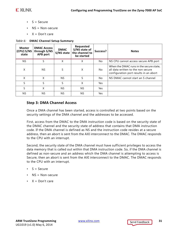- $\cdot$  S = Secure
- NS = Non-secure
- $X = Don't care$

<span id="page-30-0"></span>*Table 6:* **DMAC Channel Setup Summary**

| <b>Master</b><br>(CPU) S/NS<br>state | <b>DMAC Access</b><br>through S/NS<br><b>APB</b> port | <b>DMAC</b><br>S/NS state | Requested<br>S/NS state of<br>the channel to<br>be started | Success? | <b>Notes</b>                                                                                                            |
|--------------------------------------|-------------------------------------------------------|---------------------------|------------------------------------------------------------|----------|-------------------------------------------------------------------------------------------------------------------------|
| <b>NS</b>                            |                                                       | X                         | X                                                          | No       | NS CPU cannot access secure APB port                                                                                    |
| X                                    | NS.                                                   | S                         | X                                                          | No.      | When the DMAC runs in the secure state,<br>all data written to the non secure<br>configuration port results in an abort |
| X                                    | X                                                     | NS                        | S                                                          | No       | NS DMAC cannot start an S channel                                                                                       |
| S                                    | S                                                     | S.                        | X                                                          | Yes      |                                                                                                                         |
| S                                    | Χ                                                     | <b>NS</b>                 | NS.                                                        | Yes      |                                                                                                                         |
| NS                                   | NS                                                    | NS                        | NS                                                         | Yes      |                                                                                                                         |

#### <span id="page-30-1"></span>**Step 3: DMA Channel Access**

Once a DMA channel has been started, access is controlled at two points based on the security settings of the DMA channel and the addresses to be accessed.

First, access from the DMAC to the DMA instruction code is based on the security state of the DMAC channel and the security state of address that contains that DMA instruction code. If the DMA channel is defined as NS and the instruction code resides at a secure address, then an abort is sent from the AXI interconnect to the DMAC. The DMAC responds to the CPU with an interrupt.

Second, the security state of the DMA channel must have sufficient privileges to access the data memory that is called out within that DMA instruction code. So, if the DMA channel is defined as non-secure and an address which the DMA channel is attempting to access is Secure, then an abort is sent from the AXI interconnect to the DMAC. The DMAC responds to the CPU with an interrupt.

- $\cdot$  S = Secure
- $\cdot$  NS = Non-secure
- $X = Don't care$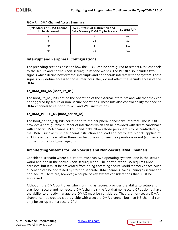| S/NS Status of DMA Channel<br>to be Accessed | S/NS Status of Instruction and<br>Data Memory DMA Try to Access | Successful? |
|----------------------------------------------|-----------------------------------------------------------------|-------------|
|                                              |                                                                 | Yes         |
|                                              | NS.                                                             | Yes         |
| NS                                           |                                                                 | No          |
| NS                                           | ΝS                                                              | Yes         |

|  |  |  |  | Table 7: DMA Channel Access Summary |
|--|--|--|--|-------------------------------------|
|--|--|--|--|-------------------------------------|

#### **Interrupt and Peripheral Configurations**

The preceding sections describe how the PL330 can be configured to restrict DMA channels to the secure and normal (non-secure) TrustZone worlds. The PL330 also includes two signals which define how external interrupts and peripherals interact with the system. These signals only define access to those interfaces, they do not affect the security access of the DMA.

#### **TZ\_DMA\_IRQ\_NS [Boot\_irq\_ns ]**

The boot\_irq\_ns[] bits define the operation of the external interrupts and whether they can be triggered by secure or non-secure operations. These bits also control ability for specific DMA channels to respond to WFI and WFE instructions.

#### **TZ\_DMA\_PERIPH\_NS [Boot\_periph\_ns]**

The boot\_periph\_ns[] bits correspond to the peripheral handshake interface. The PL330 provides a configurable number of interfaces which can be provided with direct handshake with specific DMA channels. This handshake allows those peripherals to be controlled by the DMA – such as flush peripheral instruction and load and notify, etc. Signals applied at PL330 reset define whether these can be done in non-secure operations or not (so they are not tied to the boot\_manager\_ns.

#### **Architecting Systems for Both Secure and Non-Secure DMA Channels**

Consider a scenario where a platform must run two operating systems; one in the secure world and one in the normal (non-secure) world. The normal world OS requires DMA accesses, but it must be prevented from doing accessing secure world memory space. Such a scenario can be addressed by starting separate DMA channels, each running as secure and non-secure. There are, however, a couple of key system considerations that must be addressed.

Although the DMA controller, when running as secure, provides the ability to setup and start both secure and non-secure DMA channels, the fact that non-secure CPUs do not have the ability to directly manage the DMAC must be considered. That is, a non-secure DMA channel can be created side-by-side with a secure DMA channel, but that NS channel can only be set-up from a secure CPU.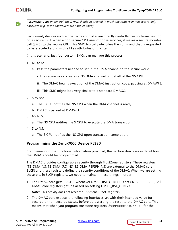

**RECOMMENDED:** *In general, the DMAC should be treated in much the same way that secure-only hardware (e.g. cache controller) are handled today.* 

Secure-only devices such as the cache controller are directly controlled via software running on a secure CPU. When a non secure CPU uses of those services, it makes a secure monitor call (SMC) to the secure CPU. This SMC typically identifies the command that is requested to be executed along with all key attributes of that call.

In this scenario, just four custom SMCs can manage this process.

- 1. NS to S:
	- a. Pass the parameters needed to setup the DMA channel to the secure world.
		- i. The secure world creates a NS DMA channel on behalf of the NS CPU.
		- ii. The DMAC begins execution of the DMAC instruction code, pausing at DMAWFE.
		- iii. This SMC might look very similar to a standard DMAGO.
- 2. S to NS:
	- a. The S CPU notifies the NS CPU when the DMA channel is ready.
	- b. DMAC is parked at DMAWFE.
- 3. NS to S:
	- a. The NS CPU notifies the S CPU to execute the DMA transaction.
- 4. S to NS:
	- a. The S CPU notifies the NS CPU upon transaction completion.

#### **Programming the Zynq-7000 Device PL330**

Complementing the functional information provided, this section describes in detail how the DMAC should be programmed.

The DMAC provides configurable security through TrustZone registers. These registers (TZ\_DMA\_NS, TZ\_DMA\_IRQ\_NS, TZ\_DMA\_PERIPH\_NS) are external to the DMAC core (in SLCR) and these registers define the security conditions of the DMAC. When we are setting these bits in SLCR registers, we need to maintain these things in order:

<span id="page-32-0"></span>1. The DMAC core gets "RESET" whenever DMAC\_RST\_CTRL=1 is set (@0xF800020C). All DMAC core registers get initialized on setting DMAC\_RST\_CTRL=1.

*Note:* This activity does not reset the TrustZone DMAC registers.

2. The DMAC core expects the following interfaces *set* with their intended value for secured or non-secured status, before de-asserting the reset to the DMAC core. This means that when you program trustzone registers @0xF8000440, 44, 48 for the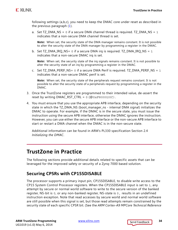following settings (a,b,c), you need to keep the DMAC core under reset as described in the previous paragraph  $(1)$  $(1)$  $(1)$ .

a. Set  $TZ\_DMA_NS = 0$  if a secure DMA channel thread is required.  $TZ\_DMA_NS = 1$ indicates that a non-secure DMA channel thread is set.

*Note:* When set, the security state of the DMA manager remains constant. It is not possible to alter the security state of the DMA manager by programming a register in the DMAC.

b. Set TZ\_DMA\_IRQ\_NS= 0 if a secure DMA irq is required. TZ\_DMA\_IRQ\_NS = 1 indicates that a non-secure DMAC irq is set.

**Note:** When set, the security state of the irg signals remains constant. It is not possible to alter the security state of an irq by programming a register in the DMAC.

c. Set  $TZ\_DMA\_PERIF_NS = 0$  if a secure DMA Perif is required.  $TZ\_DMA\_PERIF_NS = 1$ indicates that a non-secure DMAC perif is set.

**Note:** When set, the security state of the peripherals request remains constant. It is not possible to alter the security state of a peripherals request by programming a register in the DMAC.

- 3. Once the TrustZone registers are programmed to their intended value, de-assert the reset by writing DMAC\_RST\_CTRL =  $0$  (@0xF800020C).
- 4. You must ensure that you use the appropriate APB interface, depending on the security state in which the TZ\_DMA\_NS (boot\_manager\_ns - internal DMA signal) initializes the DMAC to operate. For example, if the DMAC is in the secure state, you must issue the instruction using the secure APB interface, otherwise the DMAC ignores the instruction. However, you can use either the secure APB interface or the non-secure APB interface to start or restart a DMA channel when the DMAC is in the non-secure state.

Additional information can be found in ARM's PL330 specification Section 2.4 *Initializing the DMAC*.

### <span id="page-33-0"></span>**TrustZone in Practice**

The following sections provide additional details related to specific assets that can be leveraged for the improved safety or security of a Zynq-7000 based solution.

### **Securing CPSRs with CP15SDISABLE**

The processor supports a primary input pin, CP15SDISABLE, to disable write access to the CP15 System Control Processor registers. When the CP15SDISABLE input is set to 1, any attempt by secure or normal world software to write to the secure version of the banked register, NS-bit is 0, or any non-banked register, NS-state is 0, results in an undefined instruction exception. Note that read accesses by secure world and normal world software are still possible when this signal is set, but those read attempts remain constrained by the security state of each specific CPSR bit. (See the *ARM Cortex-A9 MPCore Technical Reference*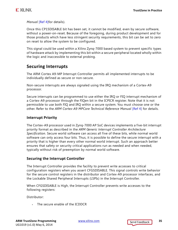*Manual* [\[Ref 4\]f](#page-43-7)or details).

Once this CP15DISABLE bit has been set, it cannot be modified, even by secure software, without a power-on-reset. Because of the foregoing, during product development and for those products which have less stringent security requirements, this bit can be set to zero on reset to allow the system to be configured.

This signal could be used within a Xilinx Zynq-7000 based system to prevent specific types of hardware attack by implementing this bit within a secure peripheral located wholly within the logic and inaccessible to external probing.

### **Securing Interrupts**

The ARM Cortex A9-MP Interrupt Controller permits all implemented interrupts to be individually defined as secure or non-secure.

Non-secure interrupts are always signaled using the IRQ mechanism of a Cortex-A9 processor.

Secure interrupts can be programmed to use either the IRQ or FIQ interrupt mechanism of a Cortex-A9 processor through the FIQen bit in the ICPICR register. Note that it is not permissible to use both FIQ and IRQ within a secure system. You must choose one or the other. Refer to the *ARM Cortex-A9 MPCore Technical Reference Manual* [\[Ref 4\]](#page-43-7) for details.

#### **Interrupt Priority**

The Cortex-A9 processor used in Zynq-7000 AP SoC devices implements a five-bit interrupt priority format as described in the *ARM Generic Interrupt Controller Architecture Specification*. Secure world software can access all five of these bits, while normal world software can only access four bits. Thus, it is possible to define the secure interrupt with a priority that is higher than every other normal world interrupt. Such an approach better ensures that safety or security critical applications run as needed and when needed, typically without risk of preemption by normal world software.

#### **Securing the Interrupt Controller**

The Interrupt Controller provides the facility to prevent write accesses to critical configuration registers when you assert CFGSDISABLE. This signal controls write behavior for the secure control registers in the distributor and Cortex-A9 processor interfaces, and the Lockable Shared Peripheral Interrupts (LSPIs) in the Interrupt Controller.

When CFGSDISABLE is High, the Interrupt Controller prevents write accesses to the following registers:

Distributor:

• The secure enable of the ICDDCR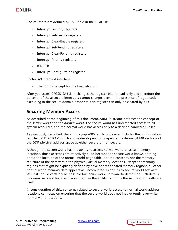Secure interrupts defined by LSPI field in the ICDICTR:

- ° Interrupt Security registers
- ° Interrupt Set-Enable registers
- ° Interrupt Clear-Enable registers
- ° Interrupt Set-Pending registers
- ° Interrupt Clear-Pending registers
- ° Interrupt Priority registers
- ° ICDIPTR
- ° Interrupt Configuration register

Cortex-A9 interrupt interfaces:

° The ICCICR, except for the EnableNS bit

After you assert CFGSDISABLE, it changes the register bits to read-only and therefore the behavior of these secure interrupts cannot change, even in the presence of rogue code executing in the secure domain. Once set, this register can only be cleared by a POR.

#### **Securing Memory Access**

As described at the beginning of this document, ARM TrustZone enforces the concept of the *secure world* and the *normal world*. The secure world has unrestricted access to all system resources, and the normal world has access only to a defined hardware subset.

As previously described, the Xilinx Zynq-7000 family of devices includes the configuration register TZ\_DDR\_RAM which allows developers to independently define 64 MB sections of the DDR physical address space as either secure or non-secure.

Although the secure world has the ability to access normal world physical memory locations, those accesses are effectively blind because the secure world knows nothing about the location of the normal world page table, nor the contents, nor the memory structure of the data within the physical/virtual memory locations. Except for memory regions that might be explicitly defined by developers as shared memory regions, all other normal world memory data appears as uncorrelated 1s and 0s to secure world software. While it should certainly be possible for secure world software to determine such details, this exercise is not trivial and would require the ability to modify the secure world software itself.

In consideration of this, concerns related to secure world access to normal world address locations can focus on ensuring that the secure world does not inadvertently over-write normal world locations.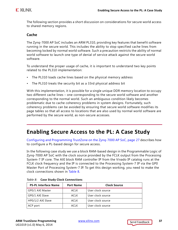The following section provides a short discussion on considerations for secure world access to shared memory regions.

#### **Cache**

The Zynq-7000 AP SoC includes an ARM PL310, providing key features that benefit software running in the secure world. This includes the ability to stop specified cache lines from becoming locked by normal world software. Such a precaution restricts the ability of normal world software to launch one type of denial of service attack against the secure world software.

To understand the proper usage of cache, it is important to understand two key points related to the PL310 implementation:

- The PL310 loads cache lines based on the physical memory address
- The PL310 treats the security bit as a 33rd physical address bit

With this implementation, it is possible for a single unique DDR memory location to occupy two different cache lines – one corresponding to the secure world software and another corresponding to the normal world. Such an ambiguous condition likely becomes problematic due to cache coherency problems in system designs. Fortunately, such coherency problems can be avoided by ensuring that secure world software modifies its page tables so that all access to locations that are also used by normal world software are performed by the secure world, as non-secure accesses.

### <span id="page-36-0"></span>**Enabling Secure Access to the PL: A Case Study**

[Configuring and Programming TrustZone on the Zynq-7000 AP SoC, page 27](#page-26-0) describes how to configure a PL-based design for secure access.

In the following case study we use a block RAM-based design in the Programmable Logic of Zynq-7000 AP SoC with the clock source provided by the FCLK output from the Processing System-7 IP core. The AXI block RAM controller IP from the Vivado IP catalog runs at the FCLK clock frequency and the IP is connected to the Processing System-7 IP via the GP0 Master Port of Processing System-7 IP. To get this design working, you need to make the clock connections shown in [Table 8.](#page-36-1)

| <b>PS-PL Interface Name</b> | <b>Port Name</b> | <b>Clock Source</b> |  |
|-----------------------------|------------------|---------------------|--|
| GP0/1 AXI Master            | ACLK             | User clock source   |  |
| GP0/1 AXI Slave             | ACLK             | User clock source   |  |
| HP0/1/2 AXI Slave           | ACI K            | User clock source   |  |
| ACP port                    | ACLK             | User clock source   |  |

<span id="page-36-1"></span>

|  | Table 8: Case Study Clock Connections |
|--|---------------------------------------|
|  |                                       |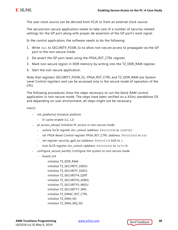The user clock source can be derived from FCLK or from an external clock source.

The secure/non-secure application needs to take care of a number of security-related settings for the GP port along with proper de-assertion of the GP port's reset signal.

In the control application, the software needs to do the following:

- 1. Write 0x1 to SECURITY\_FSSW\_Sx to allow non-secure access to propagate via the GP port in the non-secure mode.
- 2. De-assert the GP port reset using the FPGA\_RST\_CTRL register.
- 3. Mark non-secure region in DDR memory by writing into the TZ\_DDR\_RAM register.
- 4. Start the non-secure application.

Note that registers SECURITY\_FSSW\_S1, FPGA\_RST\_CTRL and TZ\_DDR\_RAM are System Level Control registers and can be accessed only in the secure mode of operation of the CPU.

The following procedures show the steps necessary to run the block RAM control application in non-secure mode. The steps have been verified on a Xilinx standalone OS and depending on user environment, all steps might not be necessary.

main():

- ° init\_platform() Initialize platform
	- D-cache enable (L1, L2)
- pl access setup() Initialize PL access in non-secure mode
	- unlock SLCR register slcr unlock (address: F8000008) to 0xDF0D)
	- set FPGA Reset Control register FPGA\_RST\_CTRL (address: F8000240) to 0x0
	- set register security\_gp0\_axi (address: F890001C) bit0 to 1.
	- lock SLCR register slcr\_unlock (address: F8000004) to 0x767B
- configure\_secure\_world() Configure the system to non-secure mode
	- board init
		- initialize TZ\_DDR\_RAM initialize TZ\_SECURITY\_SDIO2 initialize TZ\_SECURITY\_SDIO1 initialize TZ\_SECURITY4\_QSPI initialize TZ\_SECURITY6\_APBSL initialize TZ\_SECURITY5\_MIOU initialize TZ\_SECURITY7\_SMC initialize TZ\_DMAC\_RST\_CTRL initialize TZ\_DMA\_NS initialize TZ\_DMA\_IRQ\_NS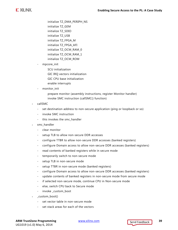initialize TZ\_DMA\_PERIPH\_NS initialize TZ\_GEM initialize TZ\_SDIO initialize TZ\_USB initialize TZ\_FPGA\_M initialize TZ\_FPGA\_AFI initialize TZ\_OCM\_RAM\_0 initialize TZ\_OCM\_RAM\_1 initialize TZ\_OCM\_ROM

- mpcore\_init

SCU initialization GIC IRQ vectors initialization GIC CPU base initialization enable interrupts

- monitor\_init

prepare monitor (assembly instructions, register Monitor handler) invoke SMC instruction (callSMC() function)

- ° callSMC
	- set destination address to non-secure application (ping or loopback or so)
	- invoke SMC instruction
	- this invokes the smc\_handler
- smc\_handler
	- clear monitor
	- setup TLB to allow non-secure DDR accesses
	- configure TTBR to allow non-secure DDR accesses (banked registers)
	- configure Domain access to allow non-secure DDR accesses (banked registers)
	- read contents of banked registers while in secure mode
	- temporarily switch to non-secure mode
	- setup TLB in non-secure mode
	- setup TTBR in non-secure mode (banked registers)
	- configure Domain access to allow non-secure DDR accesses (banked registers)
	- update contents of banked registers in non-secure mode from secure mode
	- if selected non-secure mode, continue CPU in Non-secure mode
	- else, switch CPU back to Secure mode
	- invoke \_custom\_boot
- \_custom\_boot()
	- set vector table in non-secure mode
	- set stack areas for each of the vectors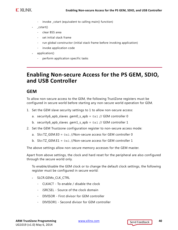- invoke \_cstart (equivalent to calling main() function)
- \_cstart()
	- clear BSS area
	- set initial stack frame
	- run global constructor (initial stack frame before invoking application)
	- invoke application code
- application()
	- perform application specific tasks

### <span id="page-39-0"></span>**Enabling Non-secure Access for the PS GEM, SDIO, and USB Controller**

### **GEM**

To allow non-secure access to the GEM, the following TrustZone registers must be configured in secure world before starting any non-secure world operation for GEM.

- 1. Set the GEM slave security settings to 1 to allow non-secure access:
	- a. security6\_apb\_slaves .gem0\_s\_apb =  $0x1$  // GEM controller 0
	- b. security6\_apb\_slaves .gem1\_s\_apb =  $0x1$  // GEM controller 1
- 2. Set the GEM Trustzone configuration register to non-secure access mode:
	- a. Slcr.TZ\_GEM.E0 =  $0x1$  //Non-secure access for GEM controller 0
	- b. Slcr.TZ\_GEM.E1 =  $0x1$  //Non-secure access for GEM controller 1

The above settings allow non-secure memory accesses for the GEM master.

Apart from above settings, the clock and hard reset for the peripheral are also configured through the secure world only.

To enable/disable the GEM clock or to change the default clock settings, the following register must be configured in secure world:

- \* SLCR.GEMx CLK CTRL
	- CLKACT To enable / disable the clock
	- iSRCSEL Source of the clock domain
	- DIVISOR First divisor for GEM controller
	- DIVISOR1 Second divisor for GEM controller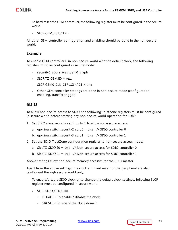To hard reset the GEM controller, the following register must be configured in the secure world.

° SLCR.GEM\_RST\_CTRL

All other GEM controller configuration and enabling should be done in the non-secure world.

#### **Example**

To enable GEM controller 0 in non-secure world with the default clock, the following registers must be configured in secure mode:

- ° security6\_apb\_slaves .gem0\_s\_apb
- SLCR.TZ GEM.E0 =  $0 \times 1$
- $\cdot$  SLCR.GEMO\_CLK\_CTRL.CLKACT = 0x1
- Other GEM controller settings are done in non-secure mode (configuration, enabling, transfer trigger).

### **SDIO**

To allow non-secure access to SDIO, the following TrustZone registers must be configured in secure world before starting any non-secure world operation for SDIO:

- 1. Set SDIO slave security settings to 1 to allow non-secure access:
	- a. gpv\_iou\_switch.security2\_sdio0 =  $0 \times 1$  // SDIO controller 0
	- b. gpv\_iou\_switch.security3\_sdio1 =  $0x1$  // SDIO controller 1
- 2. Set the SDIO TrustZone configuration register to non-secure access mode:
	- a. Slcr.TZ SDIO.S0 =  $0x1$  // Non-secure access for SDIO controller 0
	- b. Slcr.TZ SDIO.S1 =  $0x1$  // Non-secure access for SDIO controller 1

Above settings allow non-secure memory accesses for the SDIO master.

Apart from the above settings, the clock and hard reset for the peripheral are also configured through secure world only.

To enable/disable SDIO clock or to change the default clock settings, following SLCR register must be configured in secure world:

- ° SLCR.SDIO\_CLK\_CTRL
	- CLKACT To enable / disable the clock
	- SRCSEL Source of the clock domain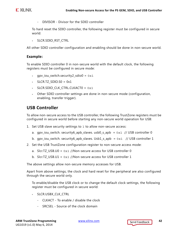- DIVISOR - Divisor for the SDIO controller

To hard reset the SDIO controller, the following register must be configured in secure world:

° SLCR.SDIO\_RST\_CTRL

All other SDIO controller configuration and enabling should be done in non-secure world.

#### **Example:**

To enable SDIO controller 0 in non-secure world with the default clock, the following registers must be configured in secure mode:

- $qpv_iou_switch.security2_sdio0 = 0x1$
- $SLCR.TZ$  SDIO.S0 = 0x1
- $\cdot$  SLCR.SDIO\_CLK\_CTRL.CLKACT0 = 0x1
- Other SDIO controller settings are done in non-secure mode (configuration, enabling, transfer trigger).

### **USB Controller**

To allow non-secure access to the USB controller, the following TrustZone registers must be configured in secure world before starting any non-secure world operation for USB:

- 1. Set USB slave security settings to 1 to allow non-secure access:
	- a. gpv\_iou\_switch. security6\_apb\_slaves. usb0\_s\_apb =  $0x1$  // USB controller 0
	- b. gpv\_iou\_switch. security6\_apb\_slaves. Usb1\_s\_apb =  $0x1$  // USB controller 1
- 2. Set the USB TrustZone configuration register to non-secure access mode:
	- a. Slcr.TZ USB.U0 =  $0x1$  //Non-secure access for USB controller 0
	- b. Slcr.TZ USB.U1 =  $0x1$  //Non-secure access for USB controller 1

The above settings allow non-secure memory accesses for USB.

Apart from above settings, the clock and hard reset for the peripheral are also configured through the secure world only.

To enable/disable the USB clock or to change the default clock settings, the following register must be configured in secure world:

- \* SLCR.USBX\_CLK\_CTRL
	- CLKACT To enable / disable the clock
	- SRCSEL Source of the clock domain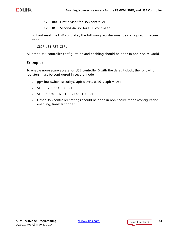- DIVISOR0 First divisor for USB controller
- DIVISOR1 Second divisor for USB controller

To hard reset the USB controller, the following register must be configured in secure world:

° SLCR.USB\_RST\_CTRL

All other USB controller configuration and enabling should be done in non-secure world.

#### **Example:**

To enable non-secure access for USB controller 0 with the default clock, the following registers must be configured in secure mode:

- gpv\_iou\_switch. security6\_apb\_slaves. usb0\_s\_apb =  $0x1$
- $\cdot$  SLCR. TZ\_USB.U0 = 0x1
- $\cdot$  SLCR. USBO\_CLK\_CTRL. CLKACT = 0x1
- ° Other USB controller settings should be done in non-secure mode (configuration, enabling, transfer trigger).